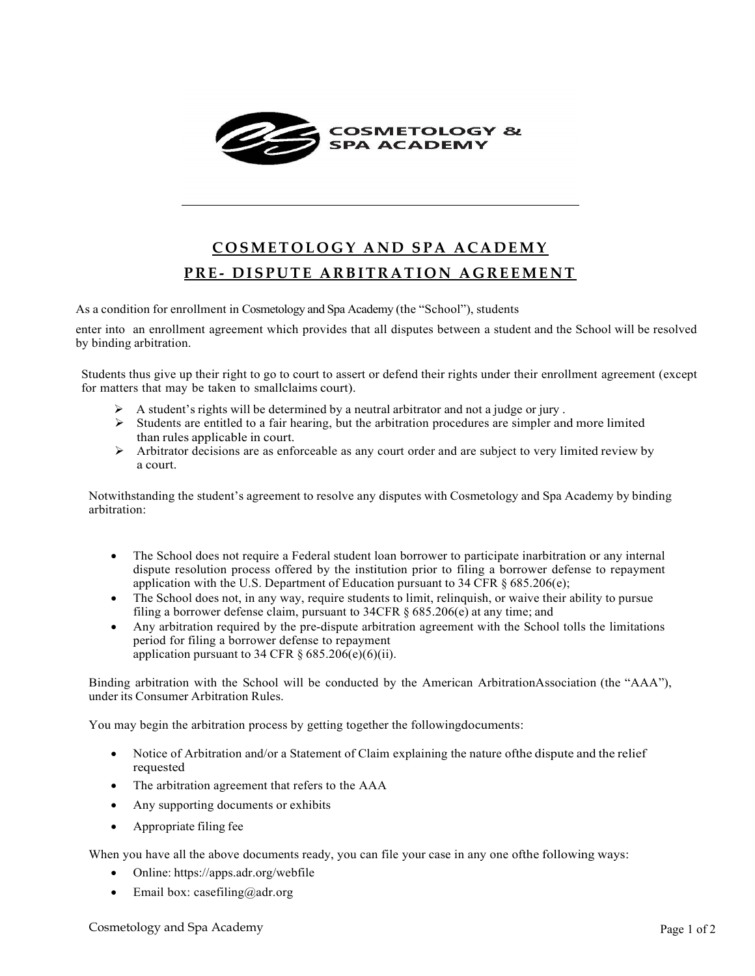

## **COSMETOLOGY AND SPA ACADEMY PRE - DISPUTE ARBITRATION AGREEMENT**

As a condition for enrollment in Cosmetology and Spa Academy (the "School"), students

enter into an enrollment agreement which provides that all disputes between a student and the School will be resolved by binding arbitration.

Students thus give up their right to go to court to assert or defend their rights under their enrollment agreement (except for matters that may be taken to smallclaims court).

- A student's rights will be determined by a neutral arbitrator and not a judge or jury .
- $\triangleright$  Students are entitled to a fair hearing, but the arbitration procedures are simpler and more limited than rules applicable in court.
- $\triangleright$  Arbitrator decisions are as enforceable as any court order and are subject to very limited review by a court.

Notwithstanding the student's agreement to resolve any disputes with Cosmetology and Spa Academy by binding arbitration:

- The School does not require a Federal student loan borrower to participate inarbitration or any internal dispute resolution process offered by the institution prior to filing a borrower defense to repayment application with the U.S. Department of Education pursuant to 34 CFR § 685.206(e);
- The School does not, in any way, require students to limit, relinquish, or waive their ability to pursue filing a borrower defense claim, pursuant to 34CFR § 685.206(e) at any time; and
- Any arbitration required by the pre-dispute arbitration agreement with the School tolls the limitations period for filing a borrower defense to repayment application pursuant to 34 CFR  $\S$  685.206(e)(6)(ii).

Binding arbitration with the School will be conducted by the American ArbitrationAssociation (the "AAA"), under its Consumer Arbitration Rules.

You may begin the arbitration process by getting together the followingdocuments:

- Notice of Arbitration and/or a Statement of Claim explaining the nature of the dispute and the relief requested
- The arbitration agreement that refers to the AAA
- Any supporting documents or exhibits
- Appropriate filing fee

When you have all the above documents ready, you can file your case in any one ofthe following ways:

- Online: https://apps.adr.org/webfile
- Email box: [casefiling@adr.org](mailto:casefiling@adr.org)